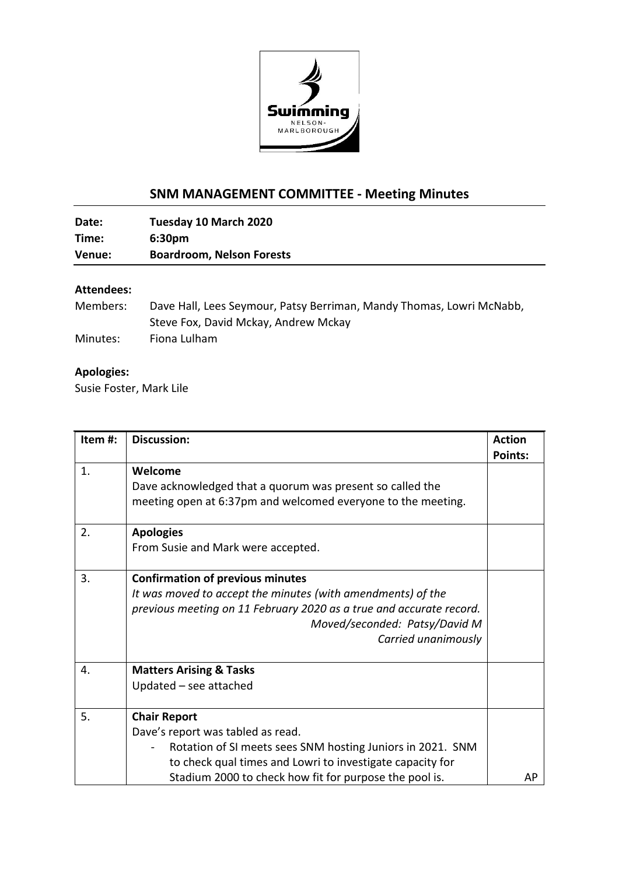

## **SNM MANAGEMENT COMMITTEE - Meeting Minutes**

**Date: Tuesday 10 March 2020 Time: 6:30pm Venue: Boardroom, Nelson Forests**

## **Attendees:**

| Members: | Dave Hall, Lees Seymour, Patsy Berriman, Mandy Thomas, Lowri McNabb, |
|----------|----------------------------------------------------------------------|
|          | Steve Fox, David Mckay, Andrew Mckay                                 |
| Minutes: | Fiona Lulham                                                         |

## **Apologies:**

Susie Foster, Mark Lile

| Item#: | <b>Discussion:</b>                                                  | <b>Action</b>  |
|--------|---------------------------------------------------------------------|----------------|
|        |                                                                     | <b>Points:</b> |
| 1.     | Welcome                                                             |                |
|        | Dave acknowledged that a quorum was present so called the           |                |
|        | meeting open at 6:37pm and welcomed everyone to the meeting.        |                |
| 2.     | <b>Apologies</b>                                                    |                |
|        |                                                                     |                |
|        | From Susie and Mark were accepted.                                  |                |
| 3.     | <b>Confirmation of previous minutes</b>                             |                |
|        | It was moved to accept the minutes (with amendments) of the         |                |
|        | previous meeting on 11 February 2020 as a true and accurate record. |                |
|        | Moved/seconded: Patsy/David M                                       |                |
|        | Carried unanimously                                                 |                |
|        |                                                                     |                |
| 4.     | <b>Matters Arising &amp; Tasks</b>                                  |                |
|        | Updated - see attached                                              |                |
| 5.     | <b>Chair Report</b>                                                 |                |
|        | Dave's report was tabled as read.                                   |                |
|        | Rotation of SI meets sees SNM hosting Juniors in 2021. SNM          |                |
|        | to check qual times and Lowri to investigate capacity for           |                |
|        | Stadium 2000 to check how fit for purpose the pool is.              | АP             |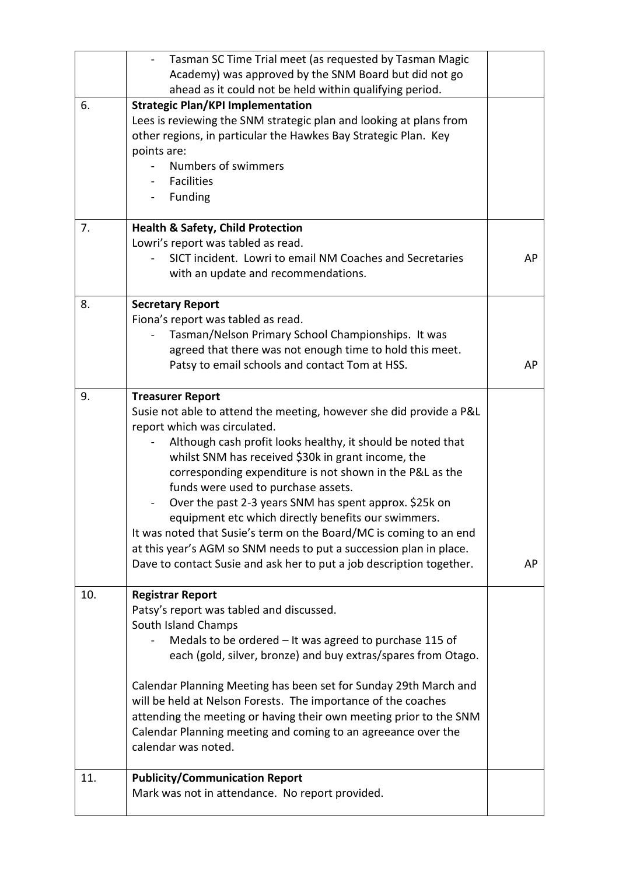|     | Tasman SC Time Trial meet (as requested by Tasman Magic                                                          |    |
|-----|------------------------------------------------------------------------------------------------------------------|----|
|     | Academy) was approved by the SNM Board but did not go<br>ahead as it could not be held within qualifying period. |    |
| 6.  | <b>Strategic Plan/KPI Implementation</b>                                                                         |    |
|     | Lees is reviewing the SNM strategic plan and looking at plans from                                               |    |
|     | other regions, in particular the Hawkes Bay Strategic Plan. Key                                                  |    |
|     | points are:                                                                                                      |    |
|     | Numbers of swimmers                                                                                              |    |
|     | <b>Facilities</b>                                                                                                |    |
|     | Funding                                                                                                          |    |
| 7.  | <b>Health &amp; Safety, Child Protection</b>                                                                     |    |
|     | Lowri's report was tabled as read.                                                                               |    |
|     | SICT incident. Lowri to email NM Coaches and Secretaries                                                         | AP |
|     | with an update and recommendations.                                                                              |    |
| 8.  | <b>Secretary Report</b>                                                                                          |    |
|     | Fiona's report was tabled as read.                                                                               |    |
|     | Tasman/Nelson Primary School Championships. It was                                                               |    |
|     | agreed that there was not enough time to hold this meet.<br>Patsy to email schools and contact Tom at HSS.       | AP |
|     |                                                                                                                  |    |
| 9.  | <b>Treasurer Report</b>                                                                                          |    |
|     | Susie not able to attend the meeting, however she did provide a P&L                                              |    |
|     | report which was circulated.                                                                                     |    |
|     | Although cash profit looks healthy, it should be noted that                                                      |    |
|     | whilst SNM has received \$30k in grant income, the                                                               |    |
|     | corresponding expenditure is not shown in the P&L as the                                                         |    |
|     | funds were used to purchase assets.<br>Over the past 2-3 years SNM has spent approx. \$25k on                    |    |
|     | equipment etc which directly benefits our swimmers.                                                              |    |
|     | It was noted that Susie's term on the Board/MC is coming to an end                                               |    |
|     | at this year's AGM so SNM needs to put a succession plan in place.                                               |    |
|     | Dave to contact Susie and ask her to put a job description together.                                             | AP |
|     |                                                                                                                  |    |
| 10. | <b>Registrar Report</b>                                                                                          |    |
|     | Patsy's report was tabled and discussed.                                                                         |    |
|     | South Island Champs                                                                                              |    |
|     | Medals to be ordered $-$ It was agreed to purchase 115 of                                                        |    |
|     | each (gold, silver, bronze) and buy extras/spares from Otago.                                                    |    |
|     | Calendar Planning Meeting has been set for Sunday 29th March and                                                 |    |
|     | will be held at Nelson Forests. The importance of the coaches                                                    |    |
|     | attending the meeting or having their own meeting prior to the SNM                                               |    |
|     | Calendar Planning meeting and coming to an agreeance over the                                                    |    |
|     | calendar was noted.                                                                                              |    |
| 11. | <b>Publicity/Communication Report</b>                                                                            |    |
|     | Mark was not in attendance. No report provided.                                                                  |    |
|     |                                                                                                                  |    |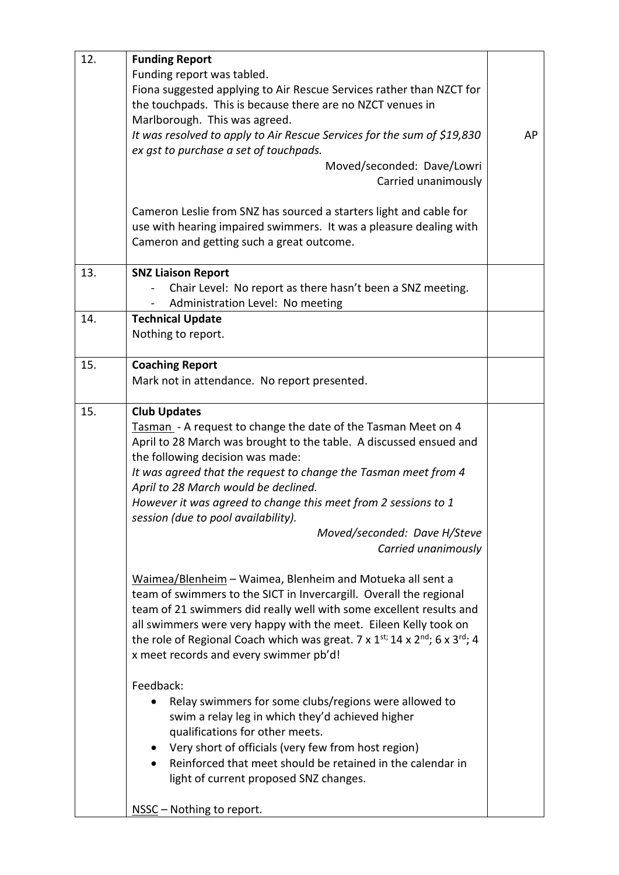| 12. | <b>Funding Report</b>                                                                              |    |
|-----|----------------------------------------------------------------------------------------------------|----|
|     | Funding report was tabled.<br>Fiona suggested applying to Air Rescue Services rather than NZCT for |    |
|     | the touchpads. This is because there are no NZCT venues in                                         |    |
|     | Marlborough. This was agreed.                                                                      |    |
|     | It was resolved to apply to Air Rescue Services for the sum of \$19,830                            | AP |
|     | ex gst to purchase a set of touchpads.                                                             |    |
|     | Moved/seconded: Dave/Lowri                                                                         |    |
|     | Carried unanimously                                                                                |    |
|     |                                                                                                    |    |
|     | Cameron Leslie from SNZ has sourced a starters light and cable for                                 |    |
|     | use with hearing impaired swimmers. It was a pleasure dealing with                                 |    |
|     | Cameron and getting such a great outcome.                                                          |    |
| 13. | <b>SNZ Liaison Report</b>                                                                          |    |
|     | Chair Level: No report as there hasn't been a SNZ meeting.                                         |    |
|     | Administration Level: No meeting                                                                   |    |
| 14. | <b>Technical Update</b>                                                                            |    |
|     | Nothing to report.                                                                                 |    |
|     |                                                                                                    |    |
| 15. | <b>Coaching Report</b><br>Mark not in attendance. No report presented.                             |    |
|     |                                                                                                    |    |
| 15. | <b>Club Updates</b>                                                                                |    |
|     | Tasman - A request to change the date of the Tasman Meet on 4                                      |    |
|     | April to 28 March was brought to the table. A discussed ensued and                                 |    |
|     | the following decision was made:                                                                   |    |
|     | It was agreed that the request to change the Tasman meet from 4                                    |    |
|     | April to 28 March would be declined.                                                               |    |
|     | However it was agreed to change this meet from 2 sessions to 1                                     |    |
|     | session (due to pool availability).                                                                |    |
|     | Moved/seconded: Dave H/Steve                                                                       |    |
|     | Carried unanimously                                                                                |    |
|     | Waimea/Blenheim – Waimea, Blenheim and Motueka all sent a                                          |    |
|     | team of swimmers to the SICT in Invercargill. Overall the regional                                 |    |
|     | team of 21 swimmers did really well with some excellent results and                                |    |
|     | all swimmers were very happy with the meet. Eileen Kelly took on                                   |    |
|     | the role of Regional Coach which was great. 7 x $1^{st}$ ; 14 x $2^{nd}$ ; 6 x $3^{rd}$ ; 4        |    |
|     | x meet records and every swimmer pb'd!                                                             |    |
|     | Feedback:                                                                                          |    |
|     | Relay swimmers for some clubs/regions were allowed to                                              |    |
|     | swim a relay leg in which they'd achieved higher                                                   |    |
|     | qualifications for other meets.                                                                    |    |
|     | Very short of officials (very few from host region)                                                |    |
|     | Reinforced that meet should be retained in the calendar in                                         |    |
|     | light of current proposed SNZ changes.                                                             |    |
|     |                                                                                                    |    |
|     | NSSC - Nothing to report.                                                                          |    |